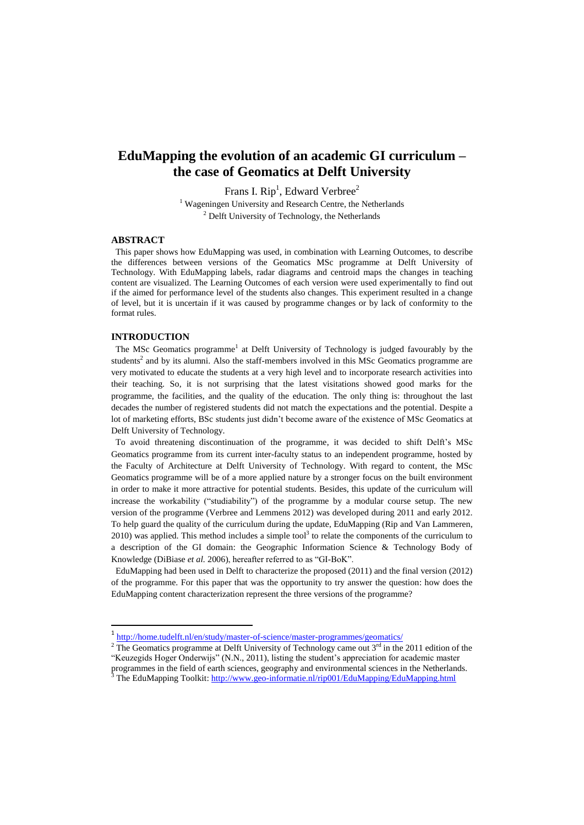# **EduMapping the evolution of an academic GI curriculum – the case of Geomatics at Delft University**

Frans I.  $\text{Rip}^1$ , Edward Verbree<sup>2</sup>

<sup>1</sup> Wageningen University and Research Centre, the Netherlands  $2$  Delft University of Technology, the Netherlands

# **ABSTRACT**

 This paper shows how EduMapping was used, in combination with Learning Outcomes, to describe the differences between versions of the Geomatics MSc programme at Delft University of Technology. With EduMapping labels, radar diagrams and centroid maps the changes in teaching content are visualized. The Learning Outcomes of each version were used experimentally to find out if the aimed for performance level of the students also changes. This experiment resulted in a change of level, but it is uncertain if it was caused by programme changes or by lack of conformity to the format rules.

# **INTRODUCTION**

l

The MSc Geomatics programme<sup>1</sup> at Delft University of Technology is judged favourably by the students<sup>2</sup> and by its alumni. Also the staff-members involved in this MSc Geomatics programme are very motivated to educate the students at a very high level and to incorporate research activities into their teaching. So, it is not surprising that the latest visitations showed good marks for the programme, the facilities, and the quality of the education. The only thing is: throughout the last decades the number of registered students did not match the expectations and the potential. Despite a lot of marketing efforts, BSc students just didn't become aware of the existence of MSc Geomatics at Delft University of Technology.

 To avoid threatening discontinuation of the programme, it was decided to shift Delft's MSc Geomatics programme from its current inter-faculty status to an independent programme, hosted by the Faculty of Architecture at Delft University of Technology. With regard to content, the MSc Geomatics programme will be of a more applied nature by a stronger focus on the built environment in order to make it more attractive for potential students. Besides, this update of the curriculum will increase the workability ("studiability") of the programme by a modular course setup. The new version of the programme (Verbree and Lemmens 2012) was developed during 2011 and early 2012. To help guard the quality of the curriculum during the update, EduMapping (Rip and Van Lammeren, 2010) was applied. This method includes a simple tool<sup>3</sup> to relate the components of the curriculum to a description of the GI domain: the Geographic Information Science & Technology Body of Knowledge (DiBiase *et al.* 2006), hereafter referred to as "GI-BoK".

 EduMapping had been used in Delft to characterize the proposed (2011) and the final version (2012) of the programme. For this paper that was the opportunity to try answer the question: how does the EduMapping content characterization represent the three versions of the programme?

<sup>&</sup>lt;sup>1</sup> <http://home.tudelft.nl/en/study/master-of-science/master-programmes/geomatics/>

<sup>&</sup>lt;sup>2</sup> The Geomatics programme at Delft University of Technology came out  $3^{rd}$  in the 2011 edition of the "Keuzegids Hoger Onderwijs" (N.N., 2011), listing the student's appreciation for academic master

programmes in the field of earth sciences, geography and environmental sciences in the Netherlands.

<sup>&</sup>lt;sup>3</sup> The EduMapping Toolkit: http://www.geo-informatie.nl/rip001/EduMapping/EduMapping.html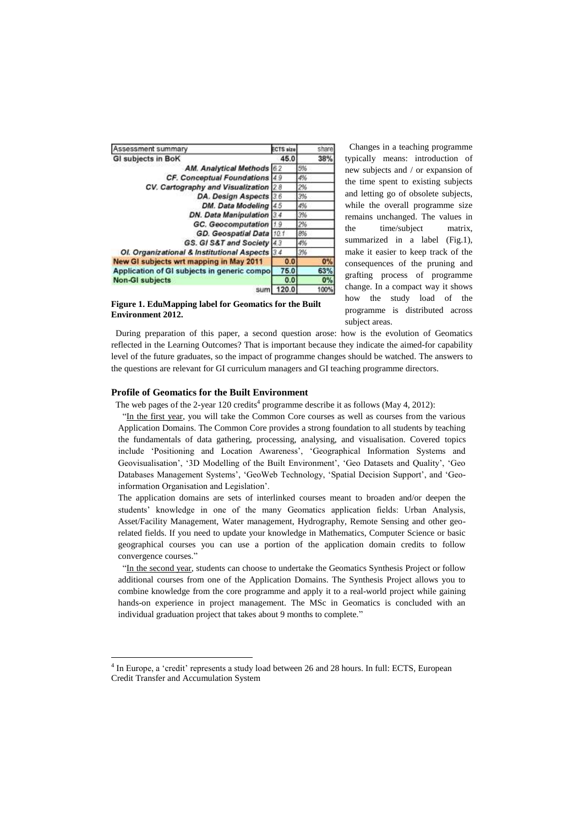| Assessment summary                             | <b>ECTS size</b> | share |
|------------------------------------------------|------------------|-------|
| <b>GI subjects in BoK</b>                      | 45.0             | 38%   |
| AM. Analytical Methods 6.2                     |                  | 5%    |
| CF. Conceptual Foundations 4.9                 |                  | 4%    |
| CV. Cartography and Visualization 2.8          |                  | 2%    |
| DA. Design Aspects 3.6                         |                  | 3%    |
| DM. Data Modeling 4.5                          |                  | 4%    |
| DN. Data Manipulation 3.4                      |                  | 3%    |
| <b>GC.</b> Geocomputation                      | 1.9              | 2%    |
| GD. Geospatial Data 10.1                       |                  | 8%    |
| GS. GI S&T and Society 4.3                     |                  | 4%    |
| OI. Organizational & Institutional Aspects 3.4 |                  | 3%    |
| New GI subjects wrt mapping in May 2011        | 0,0              | 0%    |
| Application of GI subjects in generic compo    | 75.0             | 63%   |
| <b>Non-GI subjects</b>                         | 0.0              | 0%    |
| sum                                            | 20.0             | 100%  |

 Changes in a teaching programme typically means: introduction of new subjects and / or expansion of the time spent to existing subjects and letting go of obsolete subjects, while the overall programme size remains unchanged. The values in the time/subject matrix, summarized in a label (Fig.1), make it easier to keep track of the consequences of the pruning and grafting process of programme change. In a compact way it shows how the study load of the programme is distributed across subject areas.

**Figure 1. EduMapping label for Geomatics for the Built Environment 2012.** 

 During preparation of this paper, a second question arose: how is the evolution of Geomatics reflected in the Learning Outcomes? That is important because they indicate the aimed-for capability level of the future graduates, so the impact of programme changes should be watched. The answers to the questions are relevant for GI curriculum managers and GI teaching programme directors.

## **Profile of Geomatics for the Built Environment**

 $\overline{a}$ 

The web pages of the 2-year 120 credits<sup>4</sup> programme describe it as follows (May 4, 2012):

 "In the first year, you will take the Common Core courses as well as courses from the various Application Domains. The Common Core provides a strong foundation to all students by teaching the fundamentals of data gathering, processing, analysing, and visualisation. Covered topics include 'Positioning and Location Awareness', 'Geographical Information Systems and Geovisualisation', '3D Modelling of the Built Environment', 'Geo Datasets and Quality', 'Geo Databases Management Systems', 'GeoWeb Technology, 'Spatial Decision Support', and 'Geoinformation Organisation and Legislation'.

The application domains are sets of interlinked courses meant to broaden and/or deepen the students' knowledge in one of the many Geomatics application fields: Urban Analysis, Asset/Facility Management, Water management, Hydrography, Remote Sensing and other georelated fields. If you need to update your knowledge in Mathematics, Computer Science or basic geographical courses you can use a portion of the application domain credits to follow convergence courses."

 "In the second year, students can choose to undertake the Geomatics Synthesis Project or follow additional courses from one of the Application Domains. The Synthesis Project allows you to combine knowledge from the core programme and apply it to a real-world project while gaining hands-on experience in project management. The MSc in Geomatics is concluded with an individual graduation project that takes about 9 months to complete."

<sup>&</sup>lt;sup>4</sup> In Europe, a 'credit' represents a study load between 26 and 28 hours. In full: ECTS, European Credit Transfer and Accumulation System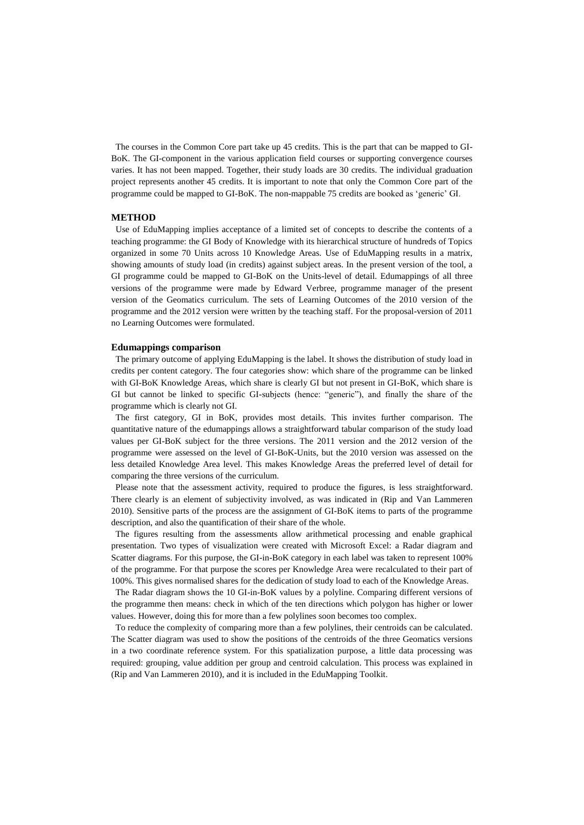The courses in the Common Core part take up 45 credits. This is the part that can be mapped to GI-BoK. The GI-component in the various application field courses or supporting convergence courses varies. It has not been mapped. Together, their study loads are 30 credits. The individual graduation project represents another 45 credits. It is important to note that only the Common Core part of the programme could be mapped to GI-BoK. The non-mappable 75 credits are booked as 'generic' GI.

#### **METHOD**

 Use of EduMapping implies acceptance of a limited set of concepts to describe the contents of a teaching programme: the GI Body of Knowledge with its hierarchical structure of hundreds of Topics organized in some 70 Units across 10 Knowledge Areas. Use of EduMapping results in a matrix, showing amounts of study load (in credits) against subject areas. In the present version of the tool, a GI programme could be mapped to GI-BoK on the Units-level of detail. Edumappings of all three versions of the programme were made by Edward Verbree, programme manager of the present version of the Geomatics curriculum. The sets of Learning Outcomes of the 2010 version of the programme and the 2012 version were written by the teaching staff. For the proposal-version of 2011 no Learning Outcomes were formulated.

#### **Edumappings comparison**

 The primary outcome of applying EduMapping is the label. It shows the distribution of study load in credits per content category. The four categories show: which share of the programme can be linked with GI-BoK Knowledge Areas, which share is clearly GI but not present in GI-BoK, which share is GI but cannot be linked to specific GI-subjects (hence: "generic"), and finally the share of the programme which is clearly not GI.

 The first category, GI in BoK, provides most details. This invites further comparison. The quantitative nature of the edumappings allows a straightforward tabular comparison of the study load values per GI-BoK subject for the three versions. The 2011 version and the 2012 version of the programme were assessed on the level of GI-BoK-Units, but the 2010 version was assessed on the less detailed Knowledge Area level. This makes Knowledge Areas the preferred level of detail for comparing the three versions of the curriculum.

 Please note that the assessment activity, required to produce the figures, is less straightforward. There clearly is an element of subjectivity involved, as was indicated in (Rip and Van Lammeren 2010). Sensitive parts of the process are the assignment of GI-BoK items to parts of the programme description, and also the quantification of their share of the whole.

 The figures resulting from the assessments allow arithmetical processing and enable graphical presentation. Two types of visualization were created with Microsoft Excel: a Radar diagram and Scatter diagrams. For this purpose, the GI-in-BoK category in each label was taken to represent 100% of the programme. For that purpose the scores per Knowledge Area were recalculated to their part of 100%. This gives normalised shares for the dedication of study load to each of the Knowledge Areas.

 The Radar diagram shows the 10 GI-in-BoK values by a polyline. Comparing different versions of the programme then means: check in which of the ten directions which polygon has higher or lower values. However, doing this for more than a few polylines soon becomes too complex.

To reduce the complexity of comparing more than a few polylines, their centroids can be calculated. The Scatter diagram was used to show the positions of the centroids of the three Geomatics versions in a two coordinate reference system. For this spatialization purpose, a little data processing was required: grouping, value addition per group and centroid calculation. This process was explained in (Rip and Van Lammeren 2010), and it is included in the EduMapping Toolkit.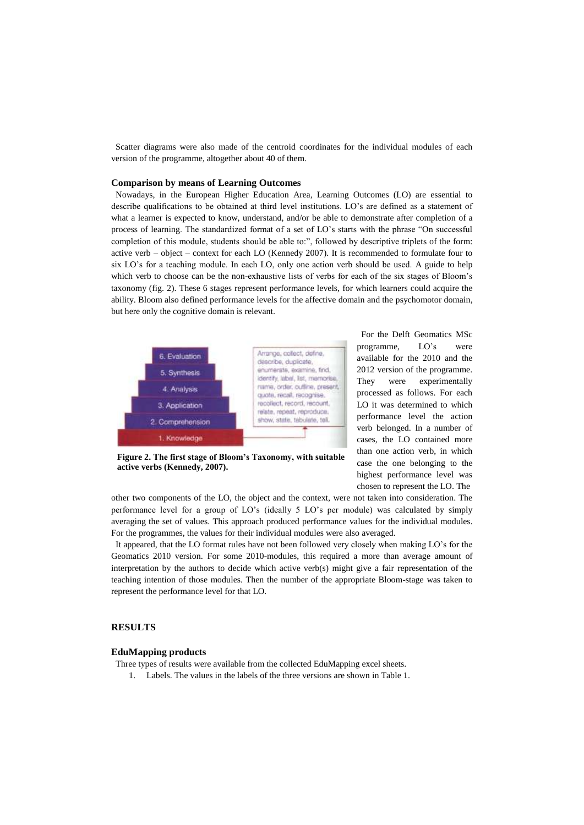Scatter diagrams were also made of the centroid coordinates for the individual modules of each version of the programme, altogether about 40 of them.

#### **Comparison by means of Learning Outcomes**

 Nowadays, in the European Higher Education Area, Learning Outcomes (LO) are essential to describe qualifications to be obtained at third level institutions. LO's are defined as a statement of what a learner is expected to know, understand, and/or be able to demonstrate after completion of a process of learning. The standardized format of a set of LO's starts with the phrase "On successful completion of this module, students should be able to:", followed by descriptive triplets of the form: active verb – object – context for each LO (Kennedy 2007). It is recommended to formulate four to six LO's for a teaching module. In each LO, only one action verb should be used. A guide to help which verb to choose can be the non-exhaustive lists of verbs for each of the six stages of Bloom's taxonomy (fig. 2). These 6 stages represent performance levels, for which learners could acquire the ability. Bloom also defined performance levels for the affective domain and the psychomotor domain, but here only the cognitive domain is relevant.



**Figure 2. The first stage of Bloom's Taxonomy, with suitable active verbs (Kennedy, 2007).**

 For the Delft Geomatics MSc programme, LO's were available for the 2010 and the 2012 version of the programme. They were experimentally processed as follows. For each LO it was determined to which performance level the action verb belonged. In a number of cases, the LO contained more than one action verb, in which case the one belonging to the highest performance level was chosen to represent the LO. The

other two components of the LO, the object and the context, were not taken into consideration. The performance level for a group of LO's (ideally 5 LO's per module) was calculated by simply averaging the set of values. This approach produced performance values for the individual modules. For the programmes, the values for their individual modules were also averaged.

 It appeared, that the LO format rules have not been followed very closely when making LO's for the Geomatics 2010 version. For some 2010-modules, this required a more than average amount of interpretation by the authors to decide which active verb(s) might give a fair representation of the teaching intention of those modules. Then the number of the appropriate Bloom-stage was taken to represent the performance level for that LO.

# **RESULTS**

# **EduMapping products**

Three types of results were available from the collected EduMapping excel sheets.

1. Labels. The values in the labels of the three versions are shown in Table 1.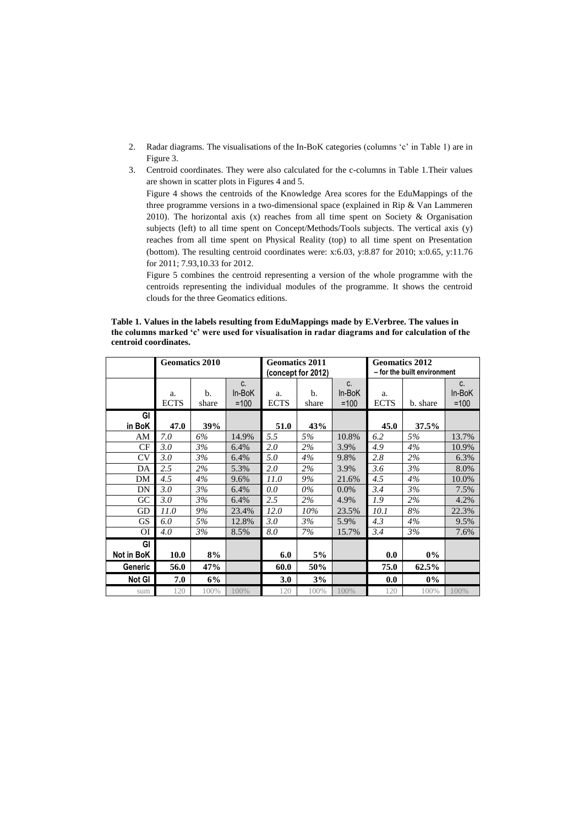- 2. Radar diagrams. The visualisations of the In-BoK categories (columns 'c' in Table 1) are in Figure 3.
- 3. Centroid coordinates. They were also calculated for the c-columns in Table 1.Their values are shown in scatter plots in Figures 4 and 5.

Figure 4 shows the centroids of the Knowledge Area scores for the EduMappings of the three programme versions in a two-dimensional space (explained in Rip & Van Lammeren 2010). The horizontal axis (x) reaches from all time spent on Society & Organisation subjects (left) to all time spent on Concept/Methods/Tools subjects. The vertical axis (y) reaches from all time spent on Physical Reality (top) to all time spent on Presentation (bottom). The resulting centroid coordinates were: x:6.03, y:8.87 for 2010; x:0.65, y:11.76 for 2011; 7.93,10.33 for 2012.

Figure 5 combines the centroid representing a version of the whole programme with the centroids representing the individual modules of the programme. It shows the centroid clouds for the three Geomatics editions.

**Table 1. Values in the labels resulting from EduMappings made by E.Verbree. The values in the columns marked 'c' were used for visualisation in radar diagrams and for calculation of the centroid coordinates.**

|                |                   | <b>Geomatics 2010</b> |                        | <b>Geomatics 2011</b> | (concept for 2012) |                        | <b>Geomatics 2012</b><br>- for the built environment |          |                                    |
|----------------|-------------------|-----------------------|------------------------|-----------------------|--------------------|------------------------|------------------------------------------------------|----------|------------------------------------|
|                | a.<br><b>ECTS</b> | b.<br>share           | C.<br>In-BoK<br>$=100$ | a.<br><b>ECTS</b>     | b.<br>share        | C.<br>In-BoK<br>$=100$ | a.<br><b>ECTS</b>                                    | b. share | C <sub>1</sub><br>In-BoK<br>$=100$ |
| GI<br>in BoK   | 47.0              | 39%                   |                        | 51.0                  | 43%                |                        | 45.0                                                 | 37.5%    |                                    |
| AM             | 7.0               | 6%                    | 14.9%                  | 5.5                   | 5%                 | 10.8%                  | 6.2                                                  | 5%       | 13.7%                              |
| CF             | 3.0               | 3%                    | 6.4%                   | 2.0                   | 2%                 | 3.9%                   | 4.9                                                  | 4%       | 10.9%                              |
| CV             | 3.0               | 3%                    | 6.4%                   | 5.0                   | 4%                 | 9.8%                   | 2.8                                                  | 2%       | 6.3%                               |
| DA             | 2.5               | 2%                    | 5.3%                   | 2.0                   | 2%                 | 3.9%                   | 3.6                                                  | 3%       | 8.0%                               |
| DM             | 4.5               | 4%                    | 9.6%                   | 11.0                  | 9%                 | 21.6%                  | 4.5                                                  | 4%       | 10.0%                              |
| DN             | 3.0               | 3%                    | 6.4%                   | 0.0                   | $0\%$              | $0.0\%$                | 3.4                                                  | 3%       | 7.5%                               |
| GC             | 3.0               | 3%                    | 6.4%                   | 2.5                   | 2%                 | 4.9%                   | 1.9                                                  | 2%       | 4.2%                               |
| GD             | 11.0              | 9%                    | 23.4%                  | 12.0                  | $10\%$             | 23.5%                  | 10.1                                                 | 8%       | 22.3%                              |
| <b>GS</b>      | 6.0               | 5%                    | 12.8%                  | 3.0                   | 3%                 | 5.9%                   | 4.3                                                  | 4%       | 9.5%                               |
| ΟI             | 4.0               | 3%                    | 8.5%                   | 8.0                   | 7%                 | 15.7%                  | 3.4                                                  | 3%       | 7.6%                               |
| GI             |                   |                       |                        |                       |                    |                        |                                                      |          |                                    |
| Not in BoK     | 10.0              | 8%                    |                        | 6.0                   | 5%                 |                        | 0.0                                                  | $0\%$    |                                    |
| <b>Generic</b> | 56.0              | 47%                   |                        | 60.0                  | 50%                |                        | 75.0                                                 | 62.5%    |                                    |
| Not GI         | 7.0               | 6%                    |                        | 3.0                   | 3%                 |                        | 0.0                                                  | 0%       |                                    |
| sum            | 120               | 100%                  | 100%                   | 120                   | 100%               | 100%                   | 120                                                  | 100%     | 100%                               |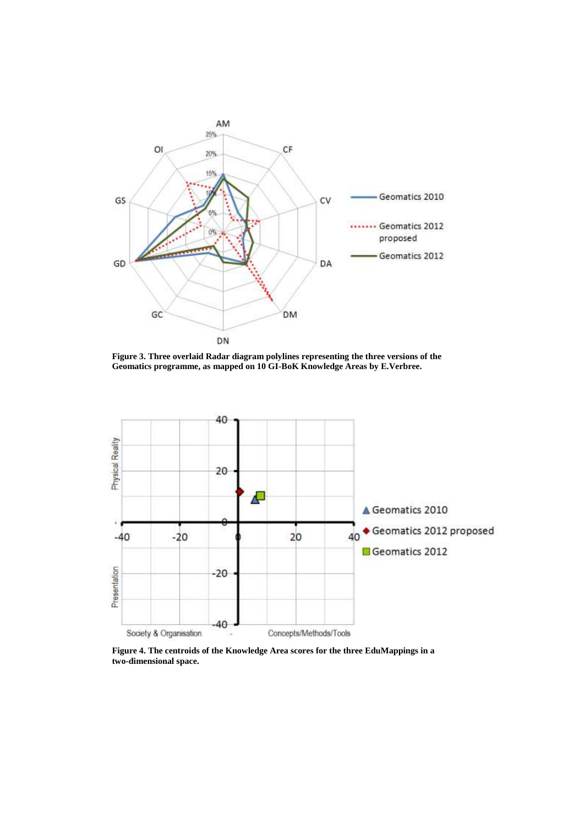

**Figure 3. Three overlaid Radar diagram polylines representing the three versions of the Geomatics programme, as mapped on 10 GI-BoK Knowledge Areas by E.Verbree.**



**Figure 4. The centroids of the Knowledge Area scores for the three EduMappings in a two-dimensional space.**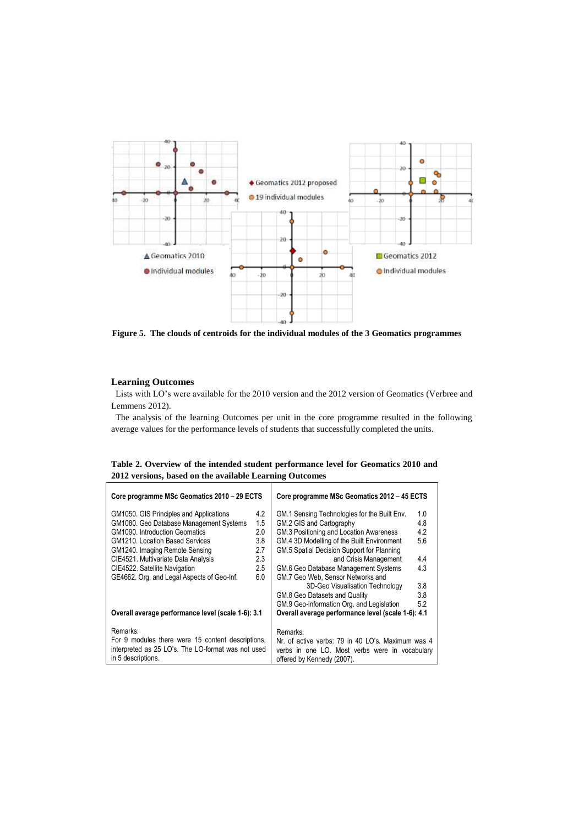

**Figure 5. The clouds of centroids for the individual modules of the 3 Geomatics programmes**

## **Learning Outcomes**

 Lists with LO's were available for the 2010 version and the 2012 version of Geomatics (Verbree and Lemmens 2012).

 The analysis of the learning Outcomes per unit in the core programme resulted in the following average values for the performance levels of students that successfully completed the units.

|  |                                                         | Table 2. Overview of the intended student performance level for Geomatics 2010 and |  |  |
|--|---------------------------------------------------------|------------------------------------------------------------------------------------|--|--|
|  | 2012 versions, based on the available Learning Outcomes |                                                                                    |  |  |

| Core programme MSc Geomatics 2010 - 29 ECTS        | Core programme MSc Geomatics 2012 - 45 ECTS        |                                                   |     |  |  |
|----------------------------------------------------|----------------------------------------------------|---------------------------------------------------|-----|--|--|
| GM1050. GIS Principles and Applications            | 4.2                                                | GM.1 Sensing Technologies for the Built Env.      | 1.0 |  |  |
| GM1080. Geo Database Management Systems            | 1.5                                                | GM.2 GIS and Cartography                          | 4.8 |  |  |
| GM1090. Introduction Geomatics                     | 2.0                                                | GM.3 Positioning and Location Awareness           | 4.2 |  |  |
| <b>GM1210. Location Based Services</b>             | 3.8                                                | GM.4 3D Modelling of the Built Environment        | 5.6 |  |  |
| GM1240. Imaging Remote Sensing                     | 2.7                                                | GM.5 Spatial Decision Support for Planning        |     |  |  |
| CIE4521. Multivariate Data Analysis                | 2.3                                                | and Crisis Management                             | 4.4 |  |  |
| CIE4522. Satellite Navigation                      | 2.5                                                | GM.6 Geo Database Management Systems              | 4.3 |  |  |
| GE4662. Org. and Legal Aspects of Geo-Inf.         | 6.0                                                | GM.7 Geo Web, Sensor Networks and                 |     |  |  |
|                                                    |                                                    | 3D-Geo Visualisation Technology                   | 3.8 |  |  |
|                                                    |                                                    | GM.8 Geo Datasets and Quality                     | 3.8 |  |  |
|                                                    |                                                    | GM.9 Geo-information Org. and Legislation         | 5.2 |  |  |
| Overall average performance level (scale 1-6): 3.1 | Overall average performance level (scale 1-6): 4.1 |                                                   |     |  |  |
| Remarks:                                           |                                                    | Remarks:                                          |     |  |  |
| For 9 modules there were 15 content descriptions,  |                                                    | Nr. of active verbs: 79 in 40 LO's. Maximum was 4 |     |  |  |
| interpreted as 25 LO's. The LO-format was not used |                                                    | verbs in one LO. Most verbs were in vocabulary    |     |  |  |
| in 5 descriptions.                                 | offered by Kennedy (2007).                         |                                                   |     |  |  |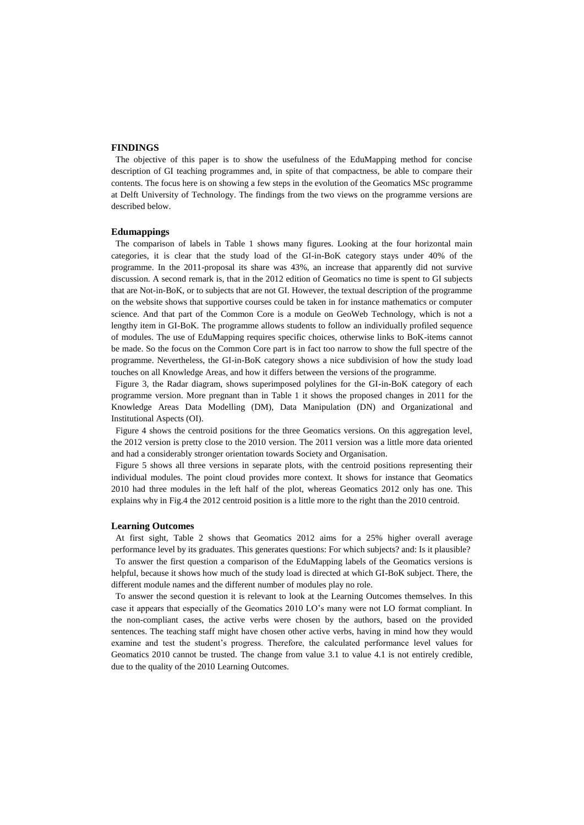## **FINDINGS**

 The objective of this paper is to show the usefulness of the EduMapping method for concise description of GI teaching programmes and, in spite of that compactness, be able to compare their contents. The focus here is on showing a few steps in the evolution of the Geomatics MSc programme at Delft University of Technology. The findings from the two views on the programme versions are described below.

## **Edumappings**

 The comparison of labels in Table 1 shows many figures. Looking at the four horizontal main categories, it is clear that the study load of the GI-in-BoK category stays under 40% of the programme. In the 2011-proposal its share was 43%, an increase that apparently did not survive discussion. A second remark is, that in the 2012 edition of Geomatics no time is spent to GI subjects that are Not-in-BoK, or to subjects that are not GI. However, the textual description of the programme on the website shows that supportive courses could be taken in for instance mathematics or computer science. And that part of the Common Core is a module on GeoWeb Technology, which is not a lengthy item in GI-BoK. The programme allows students to follow an individually profiled sequence of modules. The use of EduMapping requires specific choices, otherwise links to BoK-items cannot be made. So the focus on the Common Core part is in fact too narrow to show the full spectre of the programme. Nevertheless, the GI-in-BoK category shows a nice subdivision of how the study load touches on all Knowledge Areas, and how it differs between the versions of the programme.

 Figure 3, the Radar diagram, shows superimposed polylines for the GI-in-BoK category of each programme version. More pregnant than in Table 1 it shows the proposed changes in 2011 for the Knowledge Areas Data Modelling (DM), Data Manipulation (DN) and Organizational and Institutional Aspects (OI).

 Figure 4 shows the centroid positions for the three Geomatics versions. On this aggregation level, the 2012 version is pretty close to the 2010 version. The 2011 version was a little more data oriented and had a considerably stronger orientation towards Society and Organisation.

 Figure 5 shows all three versions in separate plots, with the centroid positions representing their individual modules. The point cloud provides more context. It shows for instance that Geomatics 2010 had three modules in the left half of the plot, whereas Geomatics 2012 only has one. This explains why in Fig.4 the 2012 centroid position is a little more to the right than the 2010 centroid.

#### **Learning Outcomes**

 At first sight, Table 2 shows that Geomatics 2012 aims for a 25% higher overall average performance level by its graduates. This generates questions: For which subjects? and: Is it plausible?

 To answer the first question a comparison of the EduMapping labels of the Geomatics versions is helpful, because it shows how much of the study load is directed at which GI-BoK subject. There, the different module names and the different number of modules play no role.

 To answer the second question it is relevant to look at the Learning Outcomes themselves. In this case it appears that especially of the Geomatics 2010 LO's many were not LO format compliant. In the non-compliant cases, the active verbs were chosen by the authors, based on the provided sentences. The teaching staff might have chosen other active verbs, having in mind how they would examine and test the student's progress. Therefore, the calculated performance level values for Geomatics 2010 cannot be trusted. The change from value 3.1 to value 4.1 is not entirely credible, due to the quality of the 2010 Learning Outcomes.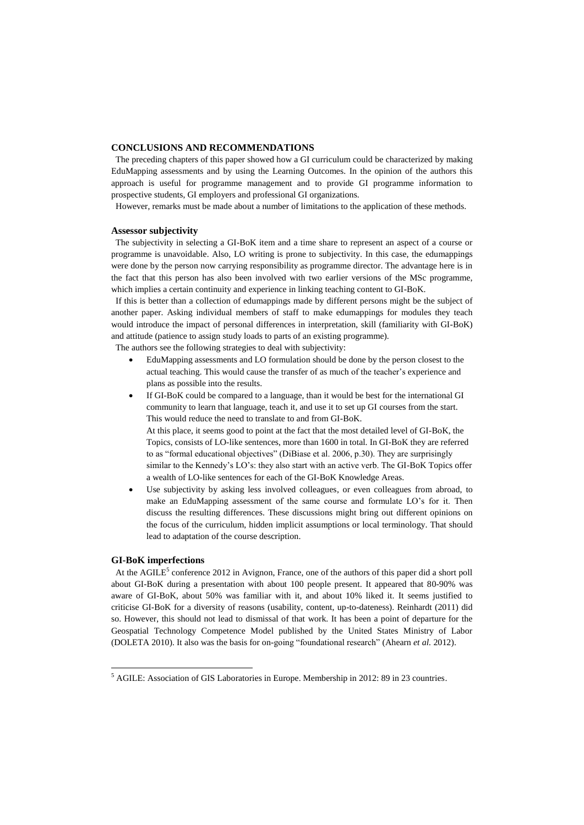## **CONCLUSIONS AND RECOMMENDATIONS**

 The preceding chapters of this paper showed how a GI curriculum could be characterized by making EduMapping assessments and by using the Learning Outcomes. In the opinion of the authors this approach is useful for programme management and to provide GI programme information to prospective students, GI employers and professional GI organizations.

However, remarks must be made about a number of limitations to the application of these methods.

#### **Assessor subjectivity**

 The subjectivity in selecting a GI-BoK item and a time share to represent an aspect of a course or programme is unavoidable. Also, LO writing is prone to subjectivity. In this case, the edumappings were done by the person now carrying responsibility as programme director. The advantage here is in the fact that this person has also been involved with two earlier versions of the MSc programme, which implies a certain continuity and experience in linking teaching content to GI-BoK.

 If this is better than a collection of edumappings made by different persons might be the subject of another paper. Asking individual members of staff to make edumappings for modules they teach would introduce the impact of personal differences in interpretation, skill (familiarity with GI-BoK) and attitude (patience to assign study loads to parts of an existing programme).

The authors see the following strategies to deal with subjectivity:

- EduMapping assessments and LO formulation should be done by the person closest to the actual teaching. This would cause the transfer of as much of the teacher's experience and plans as possible into the results.
- If GI-BoK could be compared to a language, than it would be best for the international GI community to learn that language, teach it, and use it to set up GI courses from the start. This would reduce the need to translate to and from GI-BoK. At this place, it seems good to point at the fact that the most detailed level of GI-BoK, the

Topics, consists of LO-like sentences, more than 1600 in total. In GI-BoK they are referred to as "formal educational objectives" (DiBiase et al. 2006, p.30). They are surprisingly similar to the Kennedy's LO's: they also start with an active verb. The GI-BoK Topics offer a wealth of LO-like sentences for each of the GI-BoK Knowledge Areas.

 Use subjectivity by asking less involved colleagues, or even colleagues from abroad, to make an EduMapping assessment of the same course and formulate LO's for it. Then discuss the resulting differences. These discussions might bring out different opinions on the focus of the curriculum, hidden implicit assumptions or local terminology. That should lead to adaptation of the course description.

#### **GI-BoK imperfections**

 $\overline{a}$ 

At the AGILE<sup>5</sup> conference 2012 in Avignon, France, one of the authors of this paper did a short poll about GI-BoK during a presentation with about 100 people present. It appeared that 80-90% was aware of GI-BoK, about 50% was familiar with it, and about 10% liked it. It seems justified to criticise GI-BoK for a diversity of reasons (usability, content, up-to-dateness). Reinhardt (2011) did so. However, this should not lead to dismissal of that work. It has been a point of departure for the Geospatial Technology Competence Model published by the United States Ministry of Labor (DOLETA 2010). It also was the basis for on-going "foundational research" (Ahearn *et al.* 2012).

<sup>5</sup> AGILE: Association of GIS Laboratories in Europe. Membership in 2012: 89 in 23 countries.